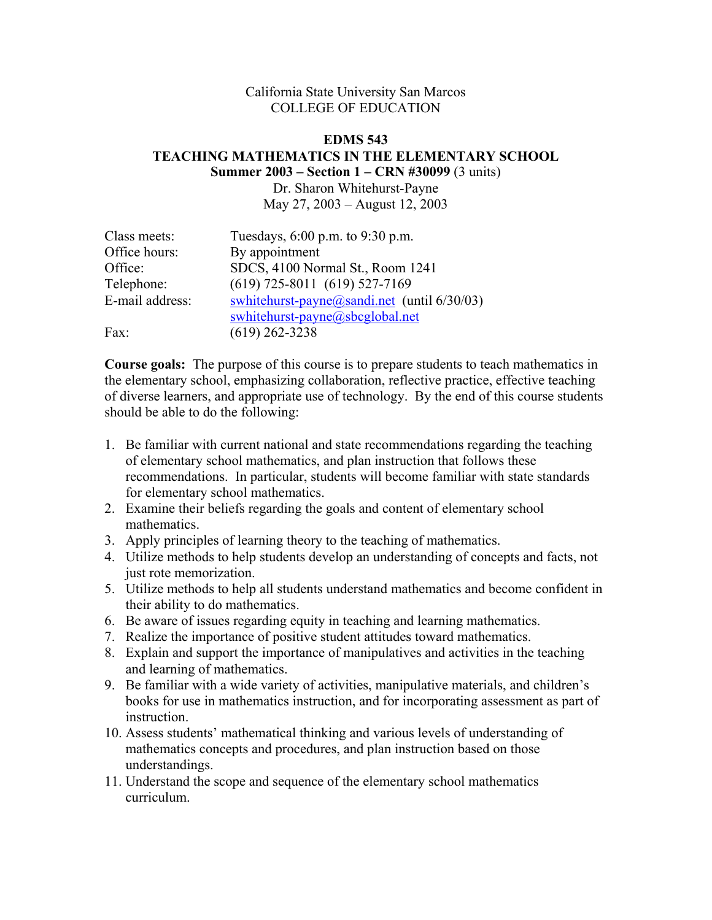## California State University San Marcos COLLEGE OF EDUCATION

### **EDMS 543 TEACHING MATHEMATICS IN THE ELEMENTARY SCHOOL Summer 2003 – Section 1 – CRN #30099** (3 units)

Dr. Sharon Whitehurst-Payne May 27, 2003 – August 12, 2003

| Class meets:    | Tuesdays, 6:00 p.m. to 9:30 p.m.               |  |
|-----------------|------------------------------------------------|--|
| Office hours:   | By appointment                                 |  |
| Office:         | SDCS, 4100 Normal St., Room 1241               |  |
| Telephone:      | $(619)$ 725-8011 $(619)$ 527-7169              |  |
| E-mail address: | swhitehurst-payne@sandi.net (until $6/30/03$ ) |  |
|                 | swhitehurst-payne@sbcglobal.net                |  |
| Fax:            | $(619)$ 262-3238                               |  |

**Course goals:** The purpose of this course is to prepare students to teach mathematics in the elementary school, emphasizing collaboration, reflective practice, effective teaching of diverse learners, and appropriate use of technology. By the end of this course students should be able to do the following:

- 1. Be familiar with current national and state recommendations regarding the teaching of elementary school mathematics, and plan instruction that follows these recommendations. In particular, students will become familiar with state standards for elementary school mathematics.
- 2. Examine their beliefs regarding the goals and content of elementary school mathematics.
- 3. Apply principles of learning theory to the teaching of mathematics.
- 4. Utilize methods to help students develop an understanding of concepts and facts, not just rote memorization.
- 5. Utilize methods to help all students understand mathematics and become confident in their ability to do mathematics.
- 6. Be aware of issues regarding equity in teaching and learning mathematics.
- 7. Realize the importance of positive student attitudes toward mathematics.
- 8. Explain and support the importance of manipulatives and activities in the teaching and learning of mathematics.
- 9. Be familiar with a wide variety of activities, manipulative materials, and children's books for use in mathematics instruction, and for incorporating assessment as part of instruction.
- 10. Assess students' mathematical thinking and various levels of understanding of mathematics concepts and procedures, and plan instruction based on those understandings.
- 11. Understand the scope and sequence of the elementary school mathematics curriculum.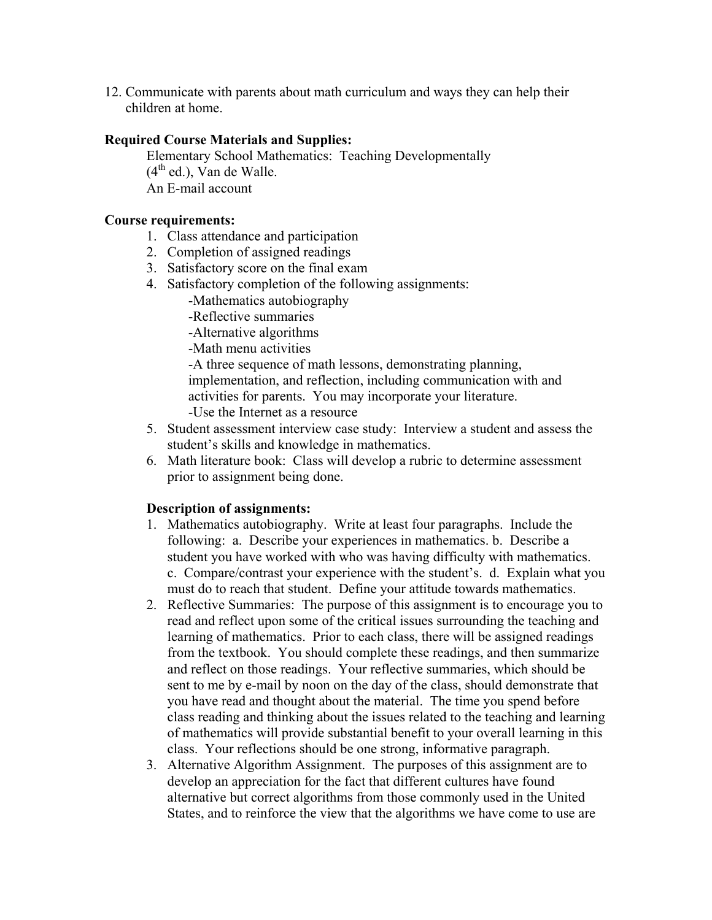12. Communicate with parents about math curriculum and ways they can help their children at home.

# **Required Course Materials and Supplies:**

 Elementary School Mathematics: Teaching Developmentally  $(4<sup>th</sup>$  ed.), Van de Walle. An E-mail account

### **Course requirements:**

- 1. Class attendance and participation
- 2. Completion of assigned readings
- 3. Satisfactory score on the final exam
- 4. Satisfactory completion of the following assignments:
	- -Mathematics autobiography
	- -Reflective summaries
	- -Alternative algorithms
	- -Math menu activities

 -A three sequence of math lessons, demonstrating planning, implementation, and reflection, including communication with and activities for parents. You may incorporate your literature. -Use the Internet as a resource

- 5. Student assessment interview case study: Interview a student and assess the student's skills and knowledge in mathematics.
- 6. Math literature book: Class will develop a rubric to determine assessment prior to assignment being done.

## **Description of assignments:**

- 1. Mathematics autobiography. Write at least four paragraphs. Include the following: a. Describe your experiences in mathematics. b. Describe a student you have worked with who was having difficulty with mathematics. c. Compare/contrast your experience with the student's. d. Explain what you must do to reach that student. Define your attitude towards mathematics.
- 2. Reflective Summaries: The purpose of this assignment is to encourage you to read and reflect upon some of the critical issues surrounding the teaching and learning of mathematics. Prior to each class, there will be assigned readings from the textbook. You should complete these readings, and then summarize and reflect on those readings. Your reflective summaries, which should be sent to me by e-mail by noon on the day of the class, should demonstrate that you have read and thought about the material. The time you spend before class reading and thinking about the issues related to the teaching and learning of mathematics will provide substantial benefit to your overall learning in this class. Your reflections should be one strong, informative paragraph.
- 3. Alternative Algorithm Assignment. The purposes of this assignment are to develop an appreciation for the fact that different cultures have found alternative but correct algorithms from those commonly used in the United States, and to reinforce the view that the algorithms we have come to use are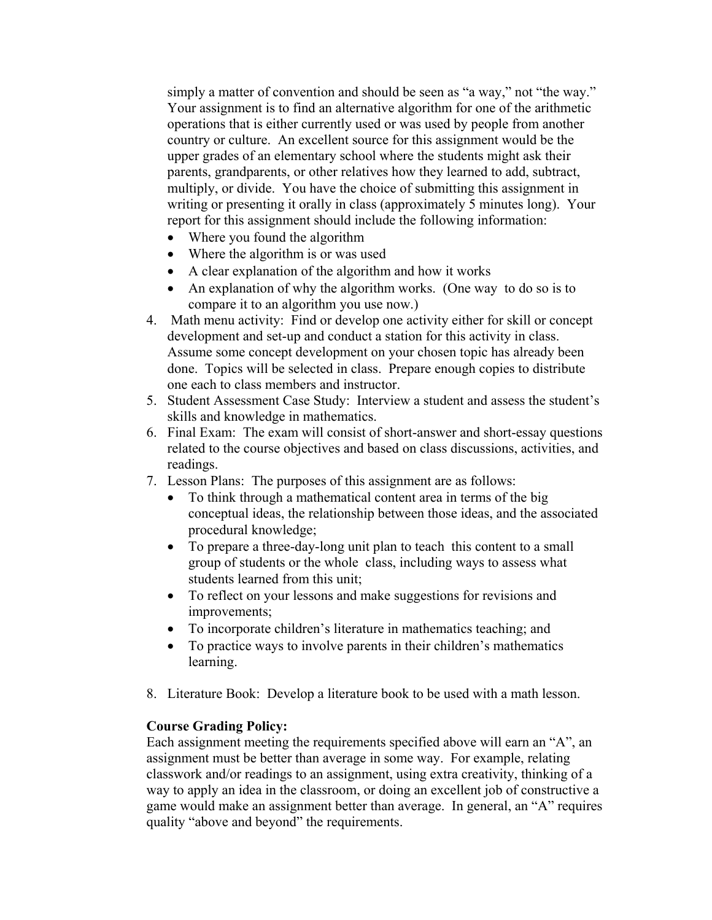simply a matter of convention and should be seen as "a way," not "the way." Your assignment is to find an alternative algorithm for one of the arithmetic operations that is either currently used or was used by people from another country or culture. An excellent source for this assignment would be the upper grades of an elementary school where the students might ask their parents, grandparents, or other relatives how they learned to add, subtract, multiply, or divide. You have the choice of submitting this assignment in writing or presenting it orally in class (approximately 5 minutes long). Your report for this assignment should include the following information:

- Where you found the algorithm
- Where the algorithm is or was used
- A clear explanation of the algorithm and how it works
- An explanation of why the algorithm works. (One way to do so is to compare it to an algorithm you use now.)
- 4. Math menu activity: Find or develop one activity either for skill or concept development and set-up and conduct a station for this activity in class. Assume some concept development on your chosen topic has already been done. Topics will be selected in class. Prepare enough copies to distribute one each to class members and instructor.
- 5. Student Assessment Case Study: Interview a student and assess the student's skills and knowledge in mathematics.
- 6. Final Exam: The exam will consist of short-answer and short-essay questions related to the course objectives and based on class discussions, activities, and readings.
- 7. Lesson Plans: The purposes of this assignment are as follows:
	- To think through a mathematical content area in terms of the big conceptual ideas, the relationship between those ideas, and the associated procedural knowledge;
	- To prepare a three-day-long unit plan to teach this content to a small group of students or the whole class, including ways to assess what students learned from this unit;
	- To reflect on your lessons and make suggestions for revisions and improvements;
	- To incorporate children's literature in mathematics teaching; and
	- To practice ways to involve parents in their children's mathematics learning.
- 8. Literature Book: Develop a literature book to be used with a math lesson.

## **Course Grading Policy:**

Each assignment meeting the requirements specified above will earn an "A", an assignment must be better than average in some way. For example, relating classwork and/or readings to an assignment, using extra creativity, thinking of a way to apply an idea in the classroom, or doing an excellent job of constructive a game would make an assignment better than average. In general, an "A" requires quality "above and beyond" the requirements.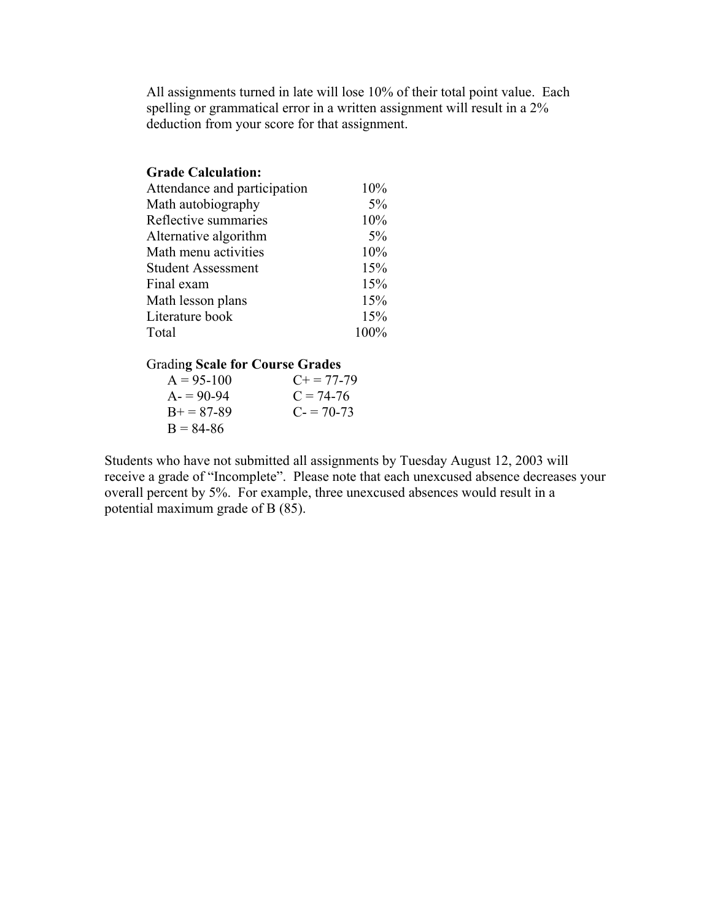All assignments turned in late will lose 10% of their total point value. Each spelling or grammatical error in a written assignment will result in a 2% deduction from your score for that assignment.

| <b>Grade Calculation:</b>    |      |
|------------------------------|------|
| Attendance and participation | 10%  |
| Math autobiography           | 5%   |
| Reflective summaries         | 10%  |
| Alternative algorithm        | 5%   |
| Math menu activities         | 10%  |
| <b>Student Assessment</b>    | 15%  |
| Final exam                   | 15%  |
| Math lesson plans            | 15%  |
| Literature book              | 15%  |
| Total                        | 100% |

### Gradin**g Scale for Course Grades**

| $A = 95 - 100$ | $C_{\pm} = 77 - 79$ |
|----------------|---------------------|
| $A = 90-94$    | $C = 74-76$         |
| $B+=87-89$     | $C = 70-73$         |
| $B = 84-86$    |                     |

Students who have not submitted all assignments by Tuesday August 12, 2003 will receive a grade of "Incomplete". Please note that each unexcused absence decreases your overall percent by 5%. For example, three unexcused absences would result in a potential maximum grade of B (85).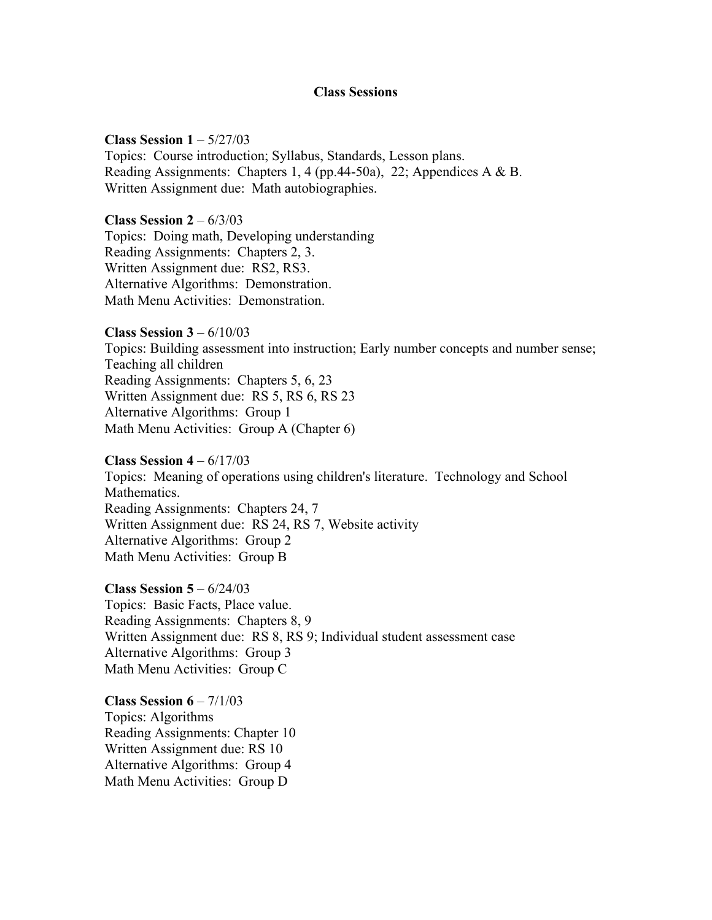#### **Class Sessions**

**Class Session 1** – 5/27/03 Topics: Course introduction; Syllabus, Standards, Lesson plans. Reading Assignments: Chapters 1, 4 (pp.44-50a), 22; Appendices A & B. Written Assignment due: Math autobiographies.

**Class Session 2** – 6/3/03 Topics: Doing math, Developing understanding Reading Assignments: Chapters 2, 3. Written Assignment due: RS2, RS3. Alternative Algorithms: Demonstration. Math Menu Activities: Demonstration.

**Class Session 3** – 6/10/03 Topics: Building assessment into instruction; Early number concepts and number sense; Teaching all children Reading Assignments: Chapters 5, 6, 23 Written Assignment due: RS 5, RS 6, RS 23 Alternative Algorithms: Group 1 Math Menu Activities: Group A (Chapter 6)

**Class Session 4** – 6/17/03 Topics: Meaning of operations using children's literature. Technology and School Mathematics. Reading Assignments: Chapters 24, 7 Written Assignment due: RS 24, RS 7, Website activity Alternative Algorithms: Group 2 Math Menu Activities: Group B

**Class Session 5** – 6/24/03 Topics: Basic Facts, Place value. Reading Assignments: Chapters 8, 9 Written Assignment due: RS 8, RS 9; Individual student assessment case Alternative Algorithms: Group 3 Math Menu Activities: Group C

**Class Session 6** – 7/1/03 Topics: Algorithms Reading Assignments: Chapter 10 Written Assignment due: RS 10 Alternative Algorithms: Group 4 Math Menu Activities: Group D